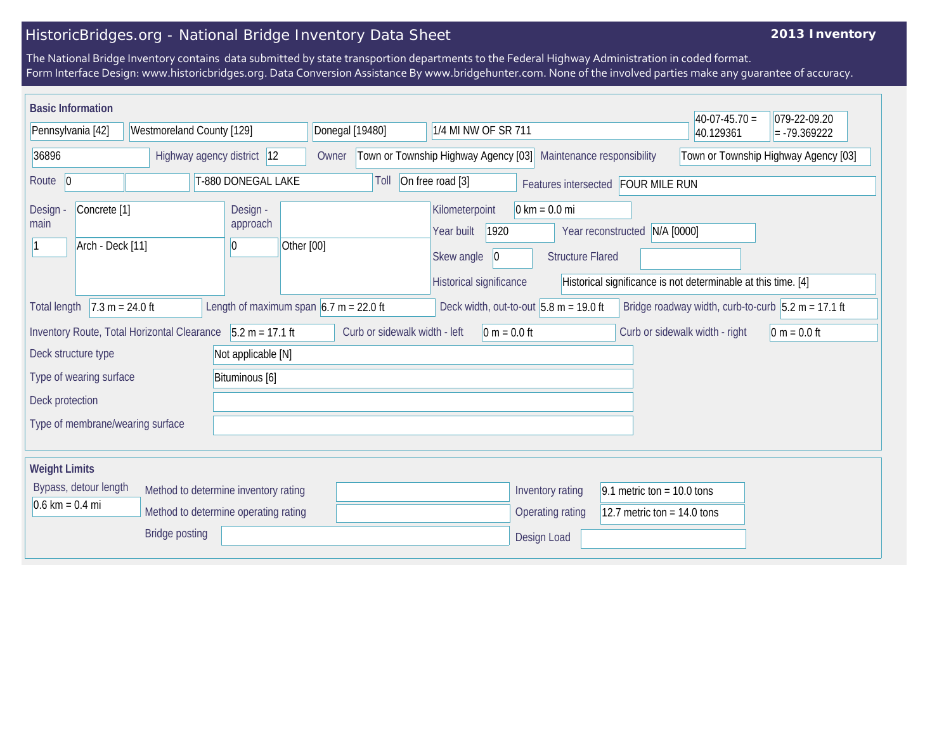## HistoricBridges.org - National Bridge Inventory Data Sheet

## **2013 Inventory**

The National Bridge Inventory contains data submitted by state transportion departments to the Federal Highway Administration in coded format. Form Interface Design: www.historicbridges.org. Data Conversion Assistance By www.bridgehunter.com. None of the involved parties make any guarantee of accuracy.

| <b>Basic Information</b>                                                                                                                                                                                                                                               |                   |                                    |                           |                                                                   |                                                                                             |                                                               | $40-07-45.70 =$                      | 079-22-09.20   |
|------------------------------------------------------------------------------------------------------------------------------------------------------------------------------------------------------------------------------------------------------------------------|-------------------|------------------------------------|---------------------------|-------------------------------------------------------------------|---------------------------------------------------------------------------------------------|---------------------------------------------------------------|--------------------------------------|----------------|
| Pennsylvania [42]                                                                                                                                                                                                                                                      |                   |                                    | Westmoreland County [129] | Donegal [19480]                                                   | 1/4 MI NW OF SR 711                                                                         |                                                               |                                      | $= -79.369222$ |
| 36896                                                                                                                                                                                                                                                                  |                   | Highway agency district 12         | Owner                     | Town or Township Highway Agency [03]                              | Maintenance responsibility                                                                  |                                                               | Town or Township Highway Agency [03] |                |
| Route $ 0$<br>T-880 DONEGAL LAKE                                                                                                                                                                                                                                       |                   | Toll                               | On free road [3]          | Features intersected FOUR MILE RUN                                |                                                                                             |                                                               |                                      |                |
| Concrete <sup>[1]</sup><br>Design -<br>main<br>Arch - Deck [11]<br>10                                                                                                                                                                                                  |                   | Design -<br>approach<br>Other [00] |                           | Kilometerpoint<br>1920<br>Year built<br>Skew angle<br>$ 0\rangle$ | $0 \text{ km} = 0.0 \text{ mi}$<br>Year reconstructed N/A [0000]<br><b>Structure Flared</b> |                                                               |                                      |                |
| <b>Total length</b>                                                                                                                                                                                                                                                    | $7.3 m = 24.0 ft$ |                                    |                           |                                                                   | Historical significance<br>Deck width, out-to-out $5.8$ m = 19.0 ft                         | Historical significance is not determinable at this time. [4] |                                      |                |
| Length of maximum span $6.7$ m = 22.0 ft<br>Bridge roadway width, curb-to-curb $5.2 m = 17.1 ft$<br>Inventory Route, Total Horizontal Clearance 5.2 m = 17.1 ft<br>Curb or sidewalk width - left<br>Curb or sidewalk width - right<br>$0 m = 0.0 ft$<br>$0 m = 0.0 ft$ |                   |                                    |                           |                                                                   |                                                                                             |                                                               |                                      |                |
| Deck structure type<br>Not applicable [N]<br>Type of wearing surface                                                                                                                                                                                                   |                   |                                    | Bituminous [6]            |                                                                   |                                                                                             |                                                               |                                      |                |
| Deck protection                                                                                                                                                                                                                                                        |                   |                                    |                           |                                                                   |                                                                                             |                                                               |                                      |                |
| Type of membrane/wearing surface                                                                                                                                                                                                                                       |                   |                                    |                           |                                                                   |                                                                                             |                                                               |                                      |                |
| <b>Weight Limits</b>                                                                                                                                                                                                                                                   |                   |                                    |                           |                                                                   |                                                                                             |                                                               |                                      |                |
| Bypass, detour length<br>Method to determine inventory rating<br>$0.6 \text{ km} = 0.4 \text{ mi}$<br>Method to determine operating rating                                                                                                                             |                   |                                    |                           |                                                                   | Inventory rating<br><b>Operating rating</b>                                                 | 9.1 metric ton = $10.0$ tons<br>12.7 metric ton = $14.0$ tons |                                      |                |
|                                                                                                                                                                                                                                                                        |                   | <b>Bridge posting</b>              |                           |                                                                   | Design Load                                                                                 |                                                               |                                      |                |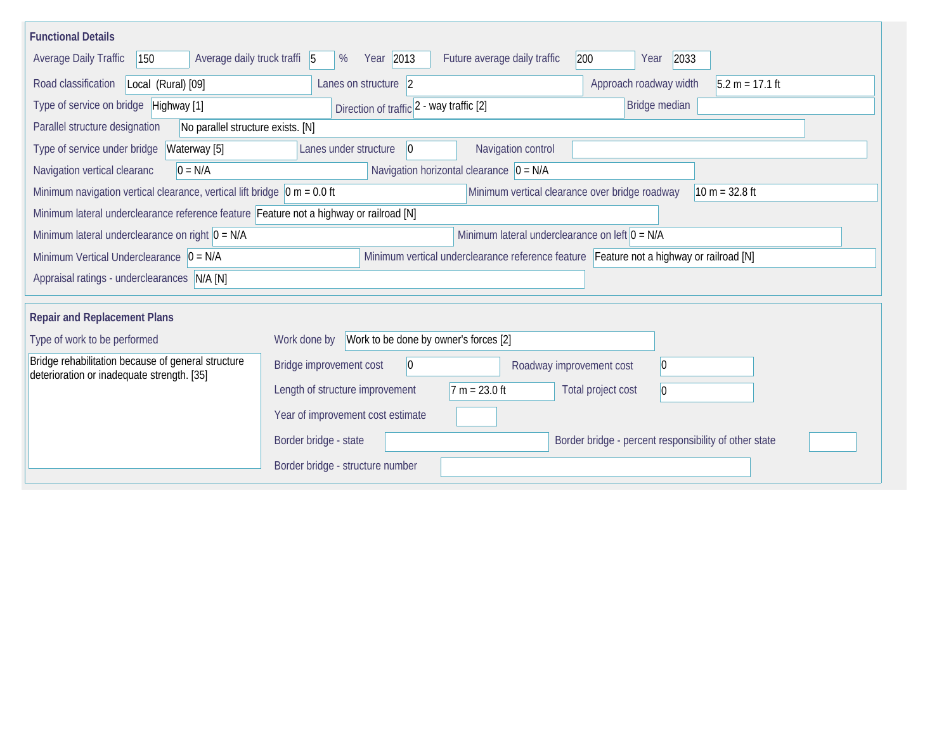| <b>Functional Details</b>                                                                        |                                                       |                                                                                         |                                                       |                   |
|--------------------------------------------------------------------------------------------------|-------------------------------------------------------|-----------------------------------------------------------------------------------------|-------------------------------------------------------|-------------------|
| <b>Average Daily Traffic</b><br>Average daily truck traffi 5<br>150                              | Year 2013<br>%                                        | Future average daily traffic<br>200                                                     | 2033<br>Year                                          |                   |
| Road classification<br>Local (Rural) [09]                                                        | Lanes on structure 2                                  |                                                                                         | Approach roadway width                                | $5.2 m = 17.1 ft$ |
| Type of service on bridge Highway [1]                                                            | Direction of traffic 2 - way traffic [2]              |                                                                                         | Bridge median                                         |                   |
| Parallel structure designation<br>No parallel structure exists. [N]                              |                                                       |                                                                                         |                                                       |                   |
| Type of service under bridge<br>Waterway [5]                                                     | Lanes under structure<br>$ 0\rangle$                  | Navigation control                                                                      |                                                       |                   |
| Navigation vertical clearanc<br>$0 = N/A$                                                        |                                                       | Navigation horizontal clearance $ 0 = N/A$                                              |                                                       |                   |
| Minimum navigation vertical clearance, vertical lift bridge $\vert$ 0 m = 0.0 ft                 |                                                       | Minimum vertical clearance over bridge roadway                                          |                                                       | $10 m = 32.8 ft$  |
| Minimum lateral underclearance reference feature Feature not a highway or railroad [N]           |                                                       |                                                                                         |                                                       |                   |
| Minimum lateral underclearance on right $0 = N/A$                                                |                                                       | Minimum lateral underclearance on left $0 = N/A$                                        |                                                       |                   |
| Minimum Vertical Underclearance $ 0 = N/A$                                                       |                                                       | Minimum vertical underclearance reference feature Feature not a highway or railroad [N] |                                                       |                   |
| Appraisal ratings - underclearances N/A [N]                                                      |                                                       |                                                                                         |                                                       |                   |
|                                                                                                  |                                                       |                                                                                         |                                                       |                   |
| <b>Repair and Replacement Plans</b>                                                              |                                                       |                                                                                         |                                                       |                   |
| Type of work to be performed                                                                     | Work to be done by owner's forces [2]<br>Work done by |                                                                                         |                                                       |                   |
| Bridge rehabilitation because of general structure<br>deterioration or inadequate strength. [35] | Bridge improvement cost<br>$\overline{0}$             | Roadway improvement cost                                                                | $ 0\rangle$                                           |                   |
|                                                                                                  | Length of structure improvement                       | $7 m = 23.0 ft$                                                                         | Total project cost<br>$ 0\rangle$                     |                   |
|                                                                                                  | Year of improvement cost estimate                     |                                                                                         |                                                       |                   |
|                                                                                                  | Border bridge - state                                 |                                                                                         | Border bridge - percent responsibility of other state |                   |
|                                                                                                  | Border bridge - structure number                      |                                                                                         |                                                       |                   |